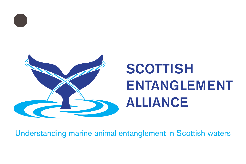

# **SCOTTISH** ENTANGLEMENT ALLIANCE

Understanding marine animal entanglement in Scottish waters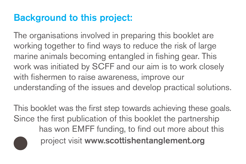# Background to this project:

The organisations involved in preparing this booklet are working together to find ways to reduce the risk of large marine animals becoming entangled in fishing gear. This work was initiated by SCFF and our aim is to work closely with fishermen to raise awareness, improve our understanding of the issues and develop practical solutions.

This booklet was the first step towards achieving these goals. Since the first publication of this booklet the partnership has won EMFF funding, to find out more about this project visit www.scottishentanglement.org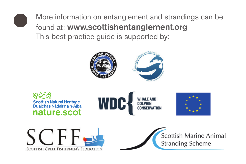

More information on entanglement and strandings can be found at: www.scottishentanglement.org This best practice guide is supported by:

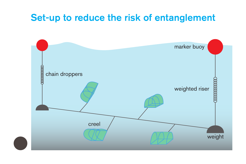#### Set-up to reduce the risk of entanglement

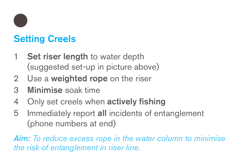

# Setting Creels

- 1 Set riser length to water depth (suggested set-up in picture above)
- 2 Use a **weighted rope** on the riser
- 3 Minimise soak time
- 4 Only set creels when actively fishing
- 5 Immediately report all incidents of entanglement (phone numbers at end)

*Aim: To reduce excess rope in the water column to minimise the risk of entanglement in riser line.*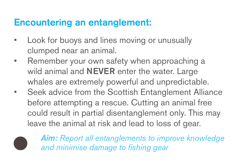### Encountering an entanglement:

- Look for buoys and lines moving or unusually clumped near an animal.
- Remember your own safety when approaching a wild animal and **NEVER** enter the water. Large whales are extremely powerful and unpredictable.
- Seek advice from the Scottish Entanglement Alliance before attempting a rescue. Cutting an animal free could result in partial disentanglement only. This may leave the animal at risk and lead to loss of gear.



*Aim: Report all entanglements to improve knowledge and minimise damage to fishing gear*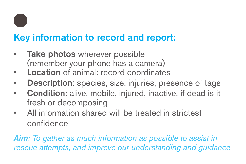

# Key information to record and report:

- Take photos wherever possible (remember your phone has a camera)
- Location of animal: record coordinates
- Description: species, size, injuries, presence of tags
- Condition: alive, mobile, injured, inactive, if dead is it fresh or decomposing
- All information shared will be treated in strictest confidence

*Aim: To gather as much information as possible to assist in rescue attempts, and improve our understanding and guidance*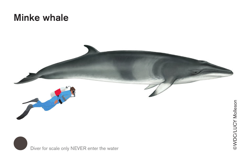## **Minke whale**





**EWDC/LUCY Molleson**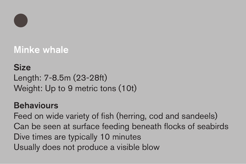

# Minke whale

## Size

Length: 7-8.5m (23-28ft) Weight: Up to 9 metric tons (10t)

#### **Behaviours**

Feed on wide variety of fish (herring, cod and sandeels) Can be seen at surface feeding beneath flocks of seabirds Dive times are typically 10 minutes Usually does not produce a visible blow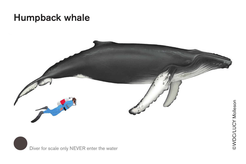## Humpback whale





©WDC/LUCY Molleson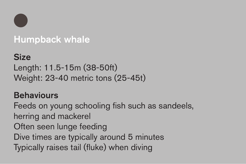

#### Humpback whale

## Size

Length: 11.5-15m (38-50ft) Weight: 23-40 metric tons (25-45t)

#### **Behaviours**

Feeds on young schooling fish such as sandeels, herring and mackerel Often seen lunge feeding Dive times are typically around 5 minutes Typically raises tail (fluke) when diving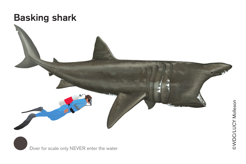

Diver for scale only NEVER enter the water

**EWDC/LUCY Melleson**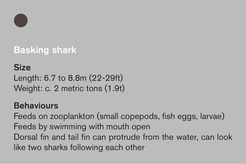

# Basking shark

#### **Size**

Length: 6.7 to 8.8m (22-29ft) Weight: c. 2 metric tons (1.9t)

#### **Behaviours**

Feeds on zooplankton (small copepods, fish eggs, larvae) Feeds by swimming with mouth open Dorsal fin and tail fin can protrude from the water, can look like two sharks following each other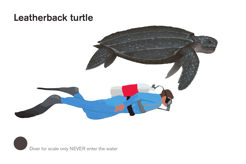## Leatherback turtle



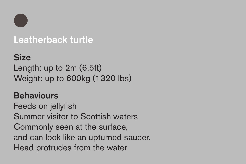

#### Leatherback turtle

#### **Size**

Length: up to 2m (6.5ft) Weight: up to 600kg (1320 lbs)

#### **Behaviours**

Feeds on jellyfish Summer visitor to Scottish waters Commonly seen at the surface, and can look like an upturned saucer. Head protrudes from the water